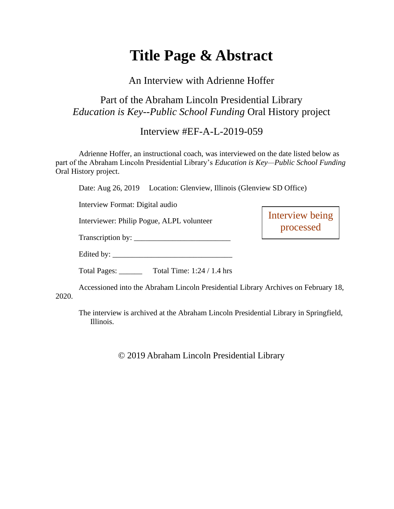# **Title Page & Abstract**

#### An Interview with Adrienne Hoffer

# Part of the Abraham Lincoln Presidential Library *Education is Key--Public School Funding* Oral History project

### Interview #EF-A-L-2019-059

Adrienne Hoffer, an instructional coach, was interviewed on the date listed below as part of the Abraham Lincoln Presidential Library's *Education is Key—Public School Funding* Oral History project.

Date: Aug 26, 2019 Location: Glenview, Illinois (Glenview SD Office)

Interview Format: Digital audio

Interviewer: Philip Pogue, ALPL volunteer

Interview being processed

Transcription by: \_\_\_\_\_\_\_\_\_\_\_\_\_\_\_\_\_\_\_\_\_\_\_\_\_

Edited by: \_\_\_\_\_\_\_\_\_\_\_\_\_\_\_\_\_\_\_\_\_\_\_\_\_\_\_\_\_\_\_

Total Pages: \_\_\_\_\_\_ Total Time: 1:24 / 1.4 hrs

Accessioned into the Abraham Lincoln Presidential Library Archives on February 18, 2020.

The interview is archived at the Abraham Lincoln Presidential Library in Springfield, Illinois.

© 2019 Abraham Lincoln Presidential Library